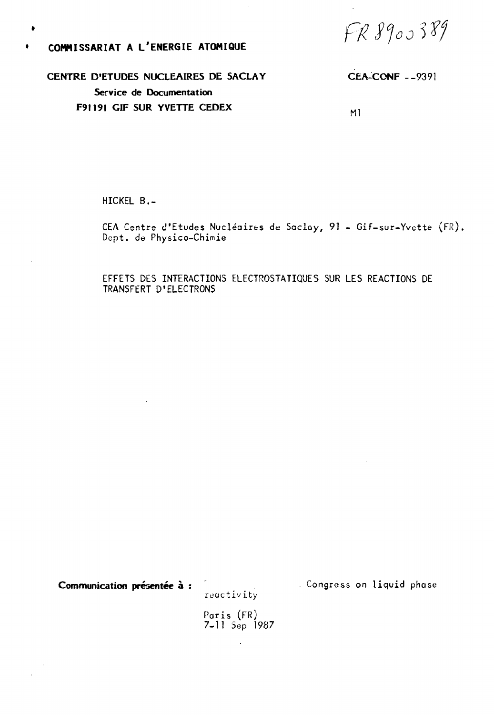$FR9900389$ 

### COMMISSARIAT A L'ENERGIE ATOMIQUE

 $\bullet$ 

CENTRE D'ETUDES NUCLEAIRES DE SACLAY **CEA-CONF - - 9391** Service de Documentation F91191 GIF SUR YVETTE CEDEX  $M<sub>1</sub>$ 

HICKEL B.-

CEA Centre d'Etudes Nucléaires de Sacloy, 91 - Gif-sur-Yvette (FR). Dept. de Physico-Chimie

EFFETS DES INTERACTIONS ELECTROSTATIQUES SUR LES REACTIONS DE TRANSFERT D'ELECTRONS

Communication présentée à :

reactivity

Congress on liquid phase

Paris (FR)<br>7-11 Sep 1987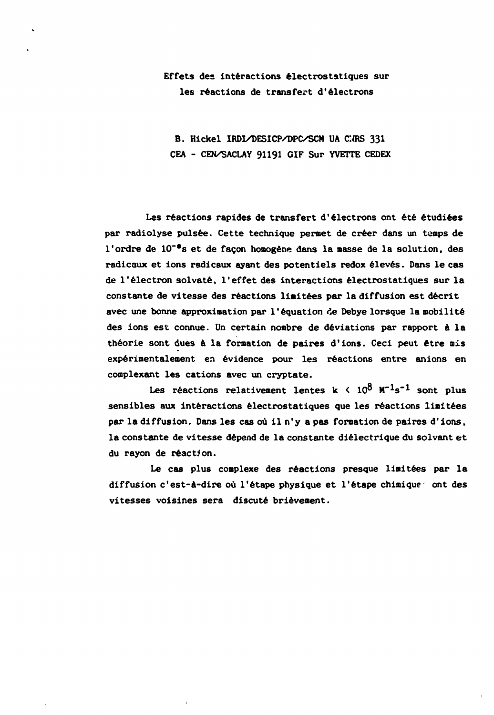## **Effets des interactions électrostatiques sur les réactions de transfert d'électrons**

**B. Hickel IRDI/DESICP/DPC/SCM UA CNRS 331 CEA - CEN/SACLAY 91191 GIF Sur YVETTE CEDEX** 

**Les réactions rapides de transfert d'électrons ont été étudiées par radiolyse puisée. Cette technique permet de créer dans un temps de l'ordre de 10~\*s et de façon homogène dans la masse de la solution, des radicaux et ions radicaux ayant des potentiels redox élevés. Dans le cas de l'électron solvate, l'effet des interactions électrostatiques sur la constante de vitesse des réactions limitées par la diffusion est décrit avec une bonne approximation par l'équation de Debye lorsque la mobilité des ions est connue. Un certain nombre de déviations par rapport à la théorie sont dues à la formation de paires d'ions. Ceci peut être mis expérimentalement en évidence pour les réactions entre anions en complexant les cations avec un cryptate.** 

Les réactions relativement lentes  $k < 10^8$   $M^{-1}s^{-1}$  sont plus **sensibles aux interactions électrostatiques que les réactions limitées par la diffusion. Dans les cas où il n'y a pas formation de paires d'ions, la constante de vitesse dépend de la constante diélectrique du solvant et du rayon de réaction.** 

**Le cas plus complexe des réactions presque limitées par la diffusion c'est-à-dire où l'étape physique et l'étape chimique ont des vitesses voisines sera discuté brièvement.**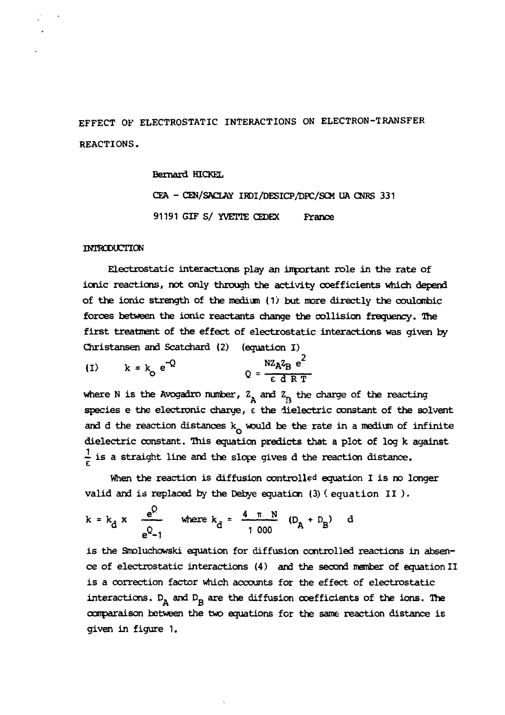EFFECT OF ELECTROSTATIC INTERACTIONS ON ELECTRON-TRANSFER REACTIONS.

Bernard HICKEL

CEA - CEN/SACLAY IRDI/DESICP/DPC/SCM UA CNRS 331 91191 GIF S/ YVETTE CEDEX France

#### INTRODUCTION

Electrostatic interactions play an important role in the rate of ionic reactions, not only through the activity coefficients which depend of the ionic strength of the medium (1) but more directly the coulombic forces between the ionic reactants change the collision frequency. The first treatment of the effect of electrostatic interactions was given by Christansen and Scatchard (2) (equation I)

$$
(1) \t k = k_0 e^{-Q} \t Q = \frac{N Z_A Z_B e^2}{\epsilon d R T}
$$

where N is the Avogadro number,  $Z_{\rm A}$  and  $Z_{\rm B}$  the charge of the reacting species e the electronic charge, c the dielectric constant of the solvent and d the reaction distances  $k_0$  would be the rate in a medium of infinite dielectric constant. This equation predicts that a plot of log k against  $\frac{1}{c}$  is a straight line and the slope gives d the reaction distance.

When the reaction is diffusion controlled equation I is no longer valid and is replaced by the Debye equation  $(3)$  (equation II).

$$
k = k_d x
$$
  $\frac{e^Q}{e^Q - 1}$  where  $k_d = \frac{4 \pi N}{1000} (D_A + D_B)$  d

is the Smoluchowski equation for diffusion controlled reactions in absence of electrostatic interactions (4) and the second member of equation II is a correction factor which accounts for the effect of electrostatic interactions.  $D_A$  and  $D_B$  are the diffusion coefficients of the ions. The comparaison between the two equations for the same reaction distance is given in figure 1.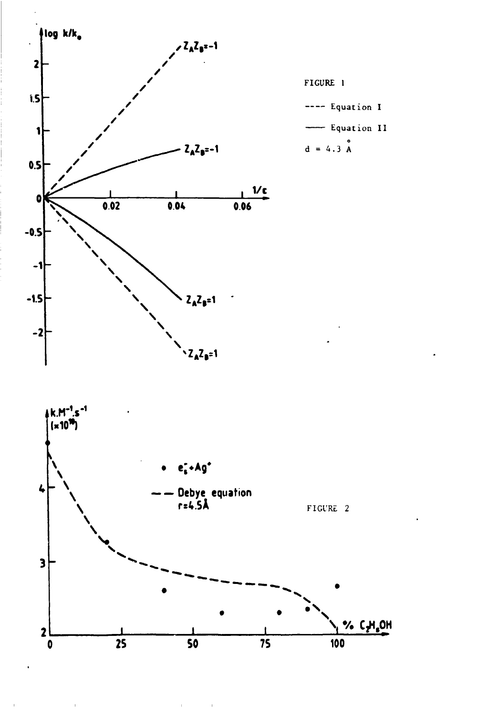

 $\mathbf{r}^{(1)}$ 

 $\bar{1}$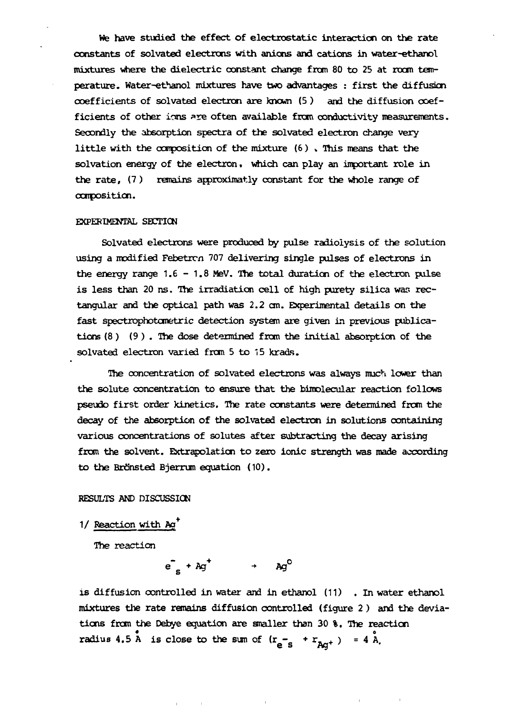We have studied the effect of electrostatic interaction on the rate constants of solvated electrons with anions and cations in water-ethanol mixtures where the dielectric constant change from 80 to 25 at room temperature. Water-ethanol mixtures have two advantages : first the diffusion coefficients of solvated electron are known  $(5)$  and the diffusion coefficients of other ions are often available from conductivity measurements. Secondly the absorption spectra of the solvated electron change very little with the composition of the mixture (6 ) » This means that the solvation energy of the electron, which can play an important role in the rate, (7 ) remains approximatly constant for the whole range of composition.

#### EXPERIMENTAL SECTION

Solvated electrons were produced by pulse radioiysis of the solution using a modified Febetrcn 707 delivering single pulses of electrons in the energy range  $1.6 - 1.8$  MeV. The total duration of the electron pulse is less than 20 ns. The irradiation cell of high purety silica was rectangular and the optical path was 2.2 cm. Experimental details on the fast spectrophotometric detection system are given in previous publications (8 ) (9 ) . The dose determined from the initial absorption of the solvated electron varied from 5 to 15 krads.

The concentration of solvated electrons was always much lower than the solute concentration to ensure that the bimolecular reaction follows pseudo first order kinetics. The rate constants were determined from the decay of the absorption of the solvated electron in solutions containing various concentrations of solutes after subtracting the decay arising from the solvent. Extrapolation to zero ionic strength was made according to the Brönsted Bjerrum equation (10).

#### RESULTS AND DISCUSSION

1/ Reaction with Ag

The reaction

$$
e^-_{s} + A g^+ \rightarrow A g^0
$$

is diffusion controlled in water and in ethanol (11) . In water ethanol mixtures the rate remains diffusion controlled (figure 2 ) and the deviations from the Debye equation are smaller than 30 %. The reaction radius 4.5 A is close to the sum of  $(r_{e^-s} + r_{A<sub>ct</sub>}) = 4$  A.

**O fi Aff~ ' •**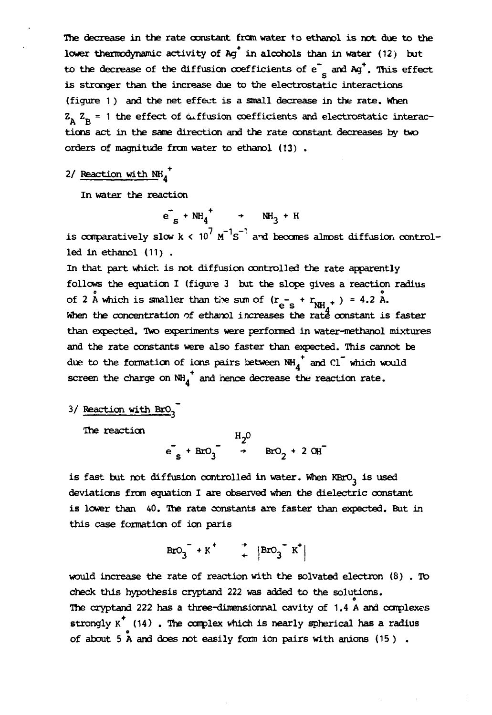The decrease in the rate constant from water to ethanol is not due to the lower thermodynamic activity of  $Aq^{\dagger}$  in alcohols than in water (12) but to the decrease of the diffusion coefficients of  $e^-$  and  $Ag^+$ . This effect is stronger than the increase due to the electrostatic interactions (figure 1) and the net effect is a small decrease in the rate. When  $Z_A$   $Z_B$  = 1 the effect of  $\omega$  ffusion coefficients and electrostatic interactions act in the same direction and the rate constant decreases by two orders of magnitude from water to ethanol (13) .

# 2/ Reaction with  $NH_4^+$

In water the reaction

 $e_s + NH_4$   $\rightarrow$  NH<sub>3</sub> + H

is comparatively slow  $k < 10^7 \text{ m}^3 \text{s}^{-1}$  and becomes almost diffusion controlled in ethanol (11) .

In that part which is not diffusion controlled the rate apparently follows the equation I (figure 3 but the slope gives a reaction radius  $e^{i\theta}$  and  $e^{i\theta}$  are  $e^{i\theta}$  and  $e^{i\theta}$  and  $e^{i\theta}$  and  $e^{i\theta}$  and  $e^{i\theta}$  and  $e^{i\theta}$  and  $e^{i\theta}$  and  $e^{i\theta}$  and  $e^{i\theta}$  and  $e^{i\theta}$  and  $e^{i\theta}$  and  $e^{i\theta}$  and  $e^{i\theta}$  and  $e^{i\theta}$  and  $e^{i\theta}$  and of 2 A which is smaller than the sum of  $r = \frac{1}{2}$   $\frac{1}{2}$   $\frac{1}{2}$   $\frac{1}{2}$  .  $\frac{1}{2}$  .  $\frac{1}{2}$  A.  $\mathop{\mathrm{e}}$  s the rate  $\infty$ than expected. Two experiments were performed in water-methanol mixtures and the rate constants were also faster than expected. This cannot be due to the formation of ions pairs between  $NH_4^+$  and  $Cl^-$  which would screen the charge on  $NH_A$  and nence decrease the reaction rate.

# 3/ Reaction with BrO<sub>3</sub>

The reaction  $\mathbf{q}$ 

 $e^{\prime}$  + BrO<sub>2</sub> + 2 OH<sup>-</sup>

is fast but not diffusion controlled in water. When  $KBrO<sub>3</sub>$  is used deviations from equation I are observed when the dielectric constant is lower than 40. The rate constants are faster than expected. But in this case formation of ion paris

 $\text{BrO}_3$  + K  $\uparrow$   $\text{BrO}_3$  K

would increase the rate of reaction with the solvated electron (8). To check this hypothesis cryptand 222 was added to the solutions. The cryptand 222 has a three-dimensionnal cavity of 1.4 A and complexes strongly  $K^+$  (14). The complex which is nearly spherical has a radius strongly  $\mathbf{r}$  ,  $\mathbf{r}$  , and complex which is nearly spherical has a radius  $\mathbf{r}$  $\alpha$  about 5 A and does not easily form ion pairs with animal (15 ) .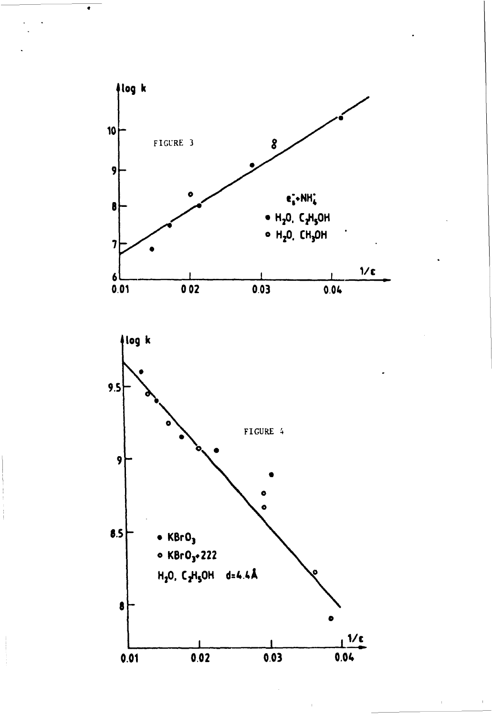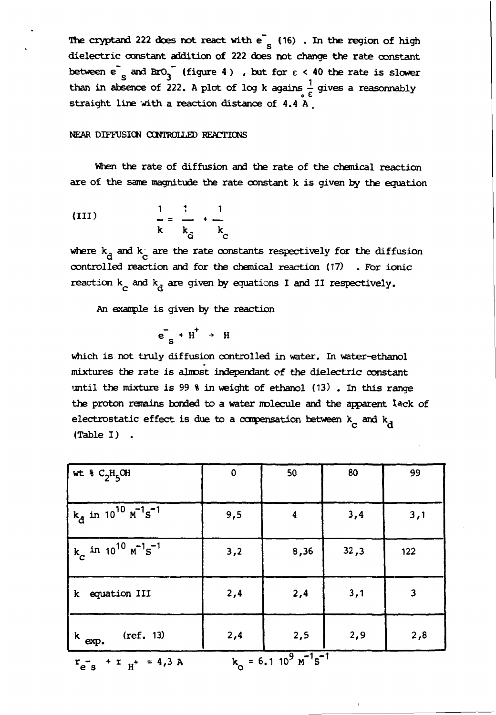The cryptand 222 does not react with  $e^-$  (16). In the region of high dielectric constant addition of 222 does not change the rate constant between  $e^{-}$  and BrO<sub>3</sub><sup> $-$ </sup> (figure 4), but for  $\epsilon$  < 40 the rate is slower than in absence of 222. A plot of log k agains  $\frac{1}{\epsilon}$  gives a reasonnably  $\tilde{r}$ straight line with a reaction distance of 4.4 A ,

NEAR DIFFUSION CONTROLLED REACTIONS

When the rate of diffusion and the rate of the chemical reaction are of the same magnitude the rate oonstant k is given by the equation

(III) 
$$
\frac{1}{k} = \frac{1}{k_0} + \frac{1}{k_0}
$$

where  $k_d$  and  $k_d$  are the rate constants respectively for the diffusion controlled reaction and for the chemical reaction (17) . For ionic reaction  $k_{\alpha}$  and  $k_{\beta}$  are given by equations I and II respectively.

An example is given by the reaction

$$
e^-_s + H^+ \rightarrow H
$$

which is not truly diffusion controlled in water. In water-ethanol mixtures the rate is almost indépendant of the dielectric constant until the mixture is 99 % in weight of ethanol (13) . In this range the proton remains bonded to a water molecule and the apparent lack of electrostatic effect is due to a compensation between  $k_a$  and  $k_d$ (Table I) .

| wt $C_2H_5OH$                                                                | $\mathbf 0$ | 50               | 80   | 99  |
|------------------------------------------------------------------------------|-------------|------------------|------|-----|
| $k_{\rm d}$ in 10 <sup>10</sup> $\mu^{-1}$ s <sup>-1</sup>                   | 9,5         | $\boldsymbol{4}$ | 3,4  | 3,1 |
| $k_c$ in 10 <sup>10</sup> $m^{-1}s^{-1}$                                     | 3,2         | 8,36             | 32,3 | 122 |
| equation III<br>k                                                            | 2,4         | 2,4              | 3,1  | 3   |
| $(\text{ref. } 13)$<br>$k$ exp.                                              | 2,4         | 2,5              | 2,9  | 2,8 |
| $k_0 = 6.1 10^9 \text{ m}^2 \text{s}^{-1}$<br>$r_{e^-s}$ + $r_{H^+}$ = 4,3 A |             |                  |      |     |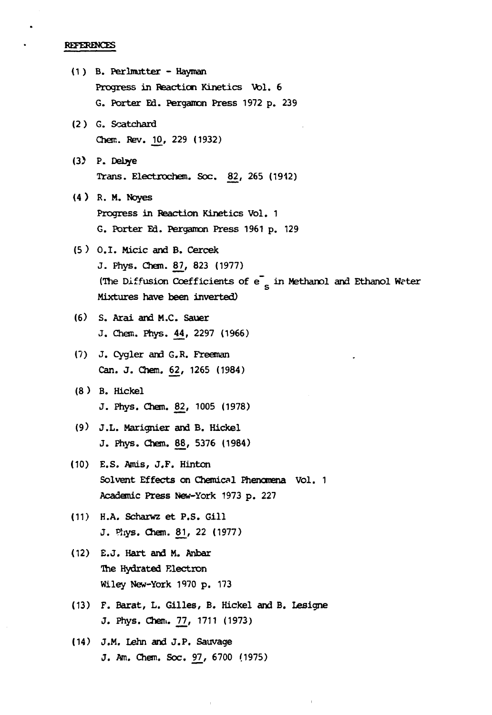REFERENCES

- (1 ) B. Perlmutter Hayman Progress in Reaction Kinetics Vol. 6 G. Porter Ed. Pergamon Press 1972 p. 239 (2) G. Scatchard Chem. Rev. JO, 229 (1932) (3) P. Debye Trans. Electrochem. Soc. 82, 265 (1942) (4 ) R. M. Noyes Progress in Reaction Kinetics Vol. 1 G. Porter Ed. Pergamon Press 1961 p. 129 (5 ) 0.1. Micic and B. Cercek J. Phys. Chem. 87, 823 (1977) (The Diffusion Coefficients of  $e^-$  in Methanol and Ethanol Wrter s Mixtures have been inverted) (6) S. Arai and M.C. Sauer J. Chan. Phys. 44, 2297 (1966) (7) J. Cygler and G.R. Freeman Can. J. Chem. 62, 1265 (1984) (8) B. Hickel J. Phys. Chem. 82, 1005 (1978) (9) J.L. Marignier and B. Hickel J. Phys. Chem. 88, 5376 (1984) (10) E.S. Amis, J.F. Hinton Solvent Effects on Chemical Phenomena Vol. 1 Academic Press New-York 1973 p. 227 (11) H.A. Scharwz et P.S. Gill J. Phys. Chem. 81, 22 (1977) (12) E.J. Hart and M. Anbar The Hydrated Electron Wiley New-York 1970 p. 173
- (13) F. Barat, L. Gilles, B. Hickel and B. Lesigne J. Phys. Chen.. 77, 1711 (1973)
- (14) J.M. Lehn and J.P. Sauvage J. Am. Chem. Soc. 97, 6700 (1975)